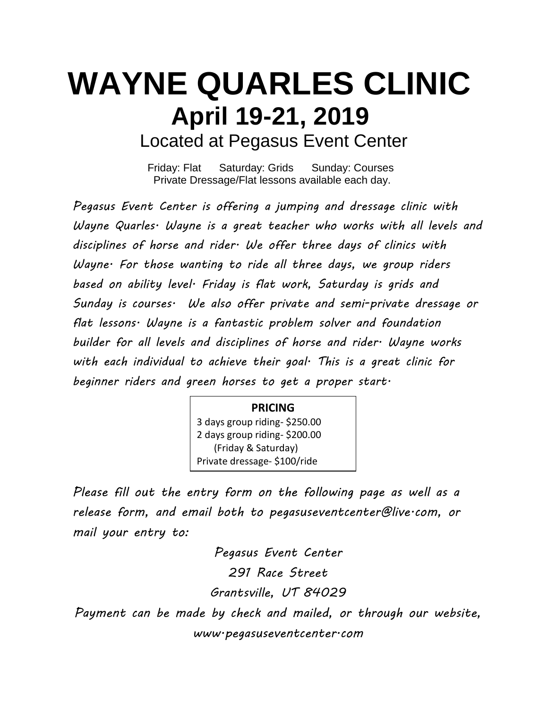## **WAYNE QUARLES CLINIC April 19-21, 2019** Located at Pegasus Event Center

Friday: Flat Saturday: Grids Sunday: Courses Private Dressage/Flat lessons available each day.

*Pegasus Event Center is offering a jumping and dressage clinic with Wayne Quarles. Wayne is a great teacher who works with all levels and disciplines of horse and rider. We offer three days of clinics with Wayne. For those wanting to ride all three days, we group riders based on ability level. Friday is flat work, Saturday is grids and Sunday is courses. We also offer private and semi-private dressage or flat lessons. Wayne is a fantastic problem solver and foundation builder for all levels and disciplines of horse and rider. Wayne works with each individual to achieve their goal. This is a great clinic for beginner riders and green horses to get a proper start.* 

## **PRICING**

3 days group riding- \$250.00 2 days group riding- \$200.00 (Friday & Saturday) Private dressage- \$100/ride

*Please fill out the entry form on the following page as well as a release form, and email both to [pegasuseventcenter@live.com,](mailto:pegasuseventcenter@live.com) or mail your entry to:*

*Pegasus Event Center 291 Race Street Grantsville, UT 84029 Payment can be made by check and mailed, or through our website, www.pegasuseventcenter.com*